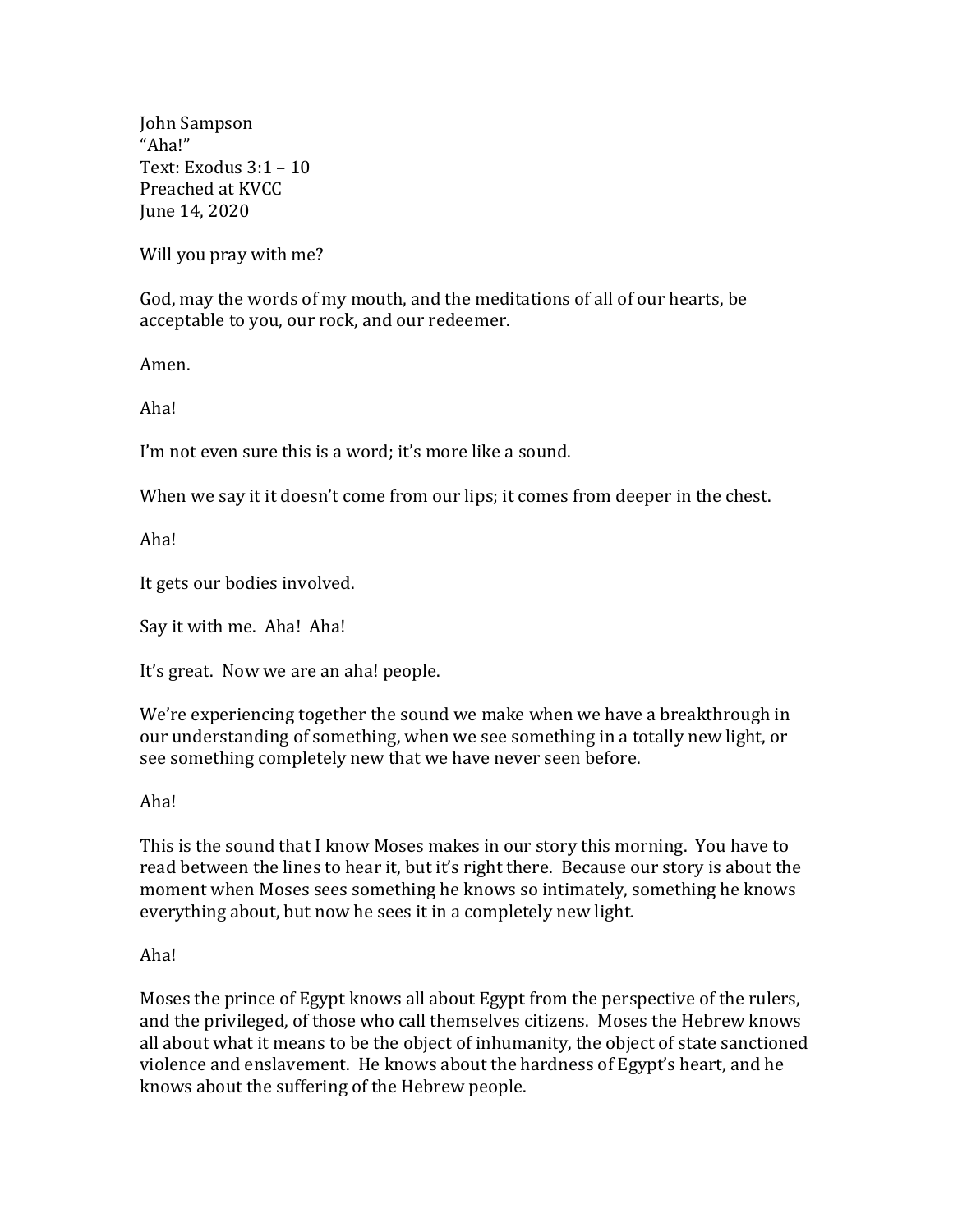John Sampson "Aha!" Text: Exodus 3:1 – 10 Preached at KVCC June 14, 2020

Will you pray with me?

God, may the words of my mouth, and the meditations of all of our hearts, be acceptable to you, our rock, and our redeemer.

Amen.

Aha!

I'm not even sure this is a word; it's more like a sound.

When we say it it doesn't come from our lips; it comes from deeper in the chest.

Aha!

It gets our bodies involved.

Say it with me. Aha! Aha!

It's great. Now we are an aha! people.

We're experiencing together the sound we make when we have a breakthrough in our understanding of something, when we see something in a totally new light, or see something completely new that we have never seen before.

Aha!

This is the sound that I know Moses makes in our story this morning. You have to read between the lines to hear it, but it's right there. Because our story is about the moment when Moses sees something he knows so intimately, something he knows everything about, but now he sees it in a completely new light.

Aha!

Moses the prince of Egypt knows all about Egypt from the perspective of the rulers, and the privileged, of those who call themselves citizens. Moses the Hebrew knows all about what it means to be the object of inhumanity, the object of state sanctioned violence and enslavement. He knows about the hardness of Egypt's heart, and he knows about the suffering of the Hebrew people.